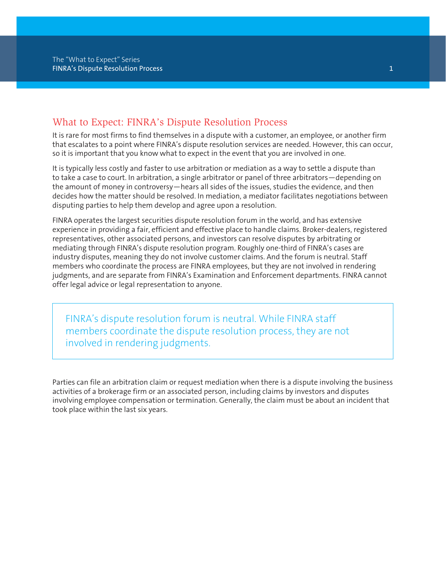### What to Expect: FINRA's Dispute Resolution Process

It is rare for most firms to find themselves in a dispute with a customer, an employee, or another firm that escalates to a point where FINRA's dispute resolution services are needed. However, this can occur, so it is important that you know what to expect in the event that you are involved in one.

It is typically less costly and faster to use arbitration or mediation as a way to settle a dispute than to take a case to court. In arbitration, a single arbitrator or panel of three arbitrators—depending on the amount of money in controversy—hears all sides of the issues, studies the evidence, and then decides how the matter should be resolved. In mediation, a mediator facilitates negotiations between disputing parties to help them develop and agree upon a resolution.

FINRA operates the largest securities dispute resolution forum in the world, and has extensive experience in providing a fair, efficient and effective place to handle claims. Broker-dealers, registered representatives, other associated persons, and investors can resolve disputes by arbitrating or mediating through FINRA's dispute resolution program. Roughly one-third of FINRA's cases are industry disputes, meaning they do not involve customer claims. And the forum is neutral. Staff members who coordinate the process are FINRA employees, but they are not involved in rendering judgments, and are separate from FINRA's Examination and Enforcement departments. FINRA cannot offer legal advice or legal representation to anyone.

FINRA's dispute resolution forum is neutral. While FINRA staff members coordinate the dispute resolution process, they are not involved in rendering judgments.

Parties can file an arbitration claim or request mediation when there is a dispute involving the business activities of a brokerage firm or an associated person, including claims by investors and disputes involving employee compensation or termination. Generally, the claim must be about an incident that took place within the last six years.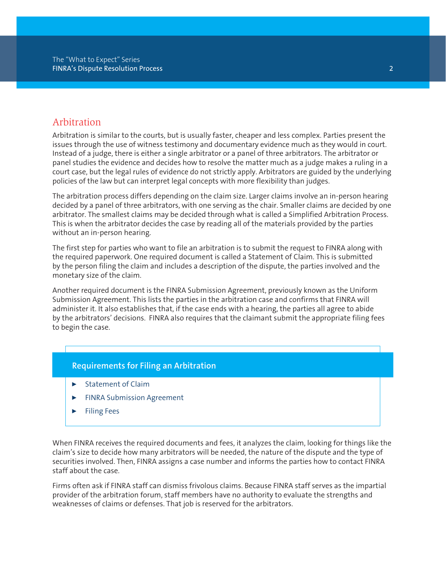### Arbitration

Arbitration is similar to the courts, but is usually faster, cheaper and less complex. Parties present the issues through the use of witness testimony and documentary evidence much as they would in court. Instead of a judge, there is either a single arbitrator or a panel of three arbitrators. The arbitrator or panel studies the evidence and decides how to resolve the matter much as a judge makes a ruling in a court case, but the legal rules of evidence do not strictly apply. Arbitrators are guided by the underlying policies of the law but can interpret legal concepts with more flexibility than judges.

The arbitration process differs depending on the claim size. Larger claims involve an in-person hearing decided by a panel of three arbitrators, with one serving as the chair. Smaller claims are decided by one arbitrator. The smallest claims may be decided through what is called a Simplified Arbitration Process. This is when the arbitrator decides the case by reading all of the materials provided by the parties without an in-person hearing.

The first step for parties who want to file an arbitration is to submit the request to FINRA along with the required paperwork. One required document is called a Statement of Claim. This is submitted by the person filing the claim and includes a description of the dispute, the parties involved and the monetary size of the claim.

Another required document is the FINRA Submission Agreement, previously known as the Uniform Submission Agreement. This lists the parties in the arbitration case and confirms that FINRA will administer it. It also establishes that, if the case ends with a hearing, the parties all agree to abide by the arbitrators' decisions. FINRA also requires that the claimant submit the appropriate filing fees to begin the case.

### **Requirements for Filing an Arbitration**

- Statement of Claim
- **FINRA Submission Agreement**
- � Filing Fees

When FINRA receives the required documents and fees, it analyzes the claim, looking for things like the claim's size to decide how many arbitrators will be needed, the nature of the dispute and the type of securities involved. Then, FINRA assigns a case number and informs the parties how to contact FINRA staff about the case.

Firms often ask if FINRA staff can dismiss frivolous claims. Because FINRA staff serves as the impartial provider of the arbitration forum, staff members have no authority to evaluate the strengths and weaknesses of claims or defenses. That job is reserved for the arbitrators.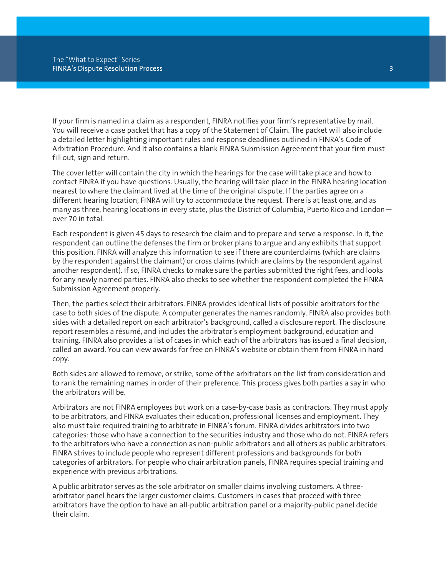If your firm is named in a claim as a respondent, FINRA notifies your firm's representative by mail. You will receive a case packet that has a copy of the Statement of Claim. The packet will also include a detailed letter highlighting important rules and response deadlines outlined in FINRA's Code of Arbitration Procedure. And it also contains a blank FINRA Submission Agreement that your firm must fill out, sign and return.

The cover letter will contain the city in which the hearings for the case will take place and how to contact FINRA if you have questions. Usually, the hearing will take place in the FINRA hearing location nearest to where the claimant lived at the time of the original dispute. If the parties agree on a different hearing location, FINRA will try to accommodate the request. There is at least one, and as many as three, hearing locations in every state, plus the District of Columbia, Puerto Rico and London over 70 in total.

Each respondent is given 45 days to research the claim and to prepare and serve a response. In it, the respondent can outline the defenses the firm or broker plans to argue and any exhibits that support this position. FINRA will analyze this information to see if there are counterclaims (which are claims by the respondent against the claimant) or cross claims (which are claims by the respondent against another respondent). If so, FINRA checks to make sure the parties submitted the right fees, and looks for any newly named parties. FINRA also checks to see whether the respondent completed the FINRA Submission Agreement properly.

Then, the parties select their arbitrators. FINRA provides identical lists of possible arbitrators for the case to both sides of the dispute. A computer generates the names randomly. FINRA also provides both sides with a detailed report on each arbitrator's background, called a disclosure report. The disclosure report resembles a résumé, and includes the arbitrator's employment background, education and training. FINRA also provides a list of cases in which each of the arbitrators has issued a final decision, called an award. You can view awards for free on FINRA's website or obtain them from FINRA in hard copy.

Both sides are allowed to remove, or strike, some of the arbitrators on the list from consideration and to rank the remaining names in order of their preference. This process gives both parties a say in who the arbitrators will be.

Arbitrators are not FINRA employees but work on a case-by-case basis as contractors. They must apply to be arbitrators, and FINRA evaluates their education, professional licenses and employment. They also must take required training to arbitrate in FINRA's forum. FINRA divides arbitrators into two categories: those who have a connection to the securities industry and those who do not. FINRA refers to the arbitrators who have a connection as non-public arbitrators and all others as public arbitrators. FINRA strives to include people who represent different professions and backgrounds for both categories of arbitrators. For people who chair arbitration panels, FINRA requires special training and experience with previous arbitrations.

A public arbitrator serves as the sole arbitrator on smaller claims involving customers. A threearbitrator panel hears the larger customer claims. Customers in cases that proceed with three arbitrators have the option to have an all-public arbitration panel or a majority-public panel decide their claim.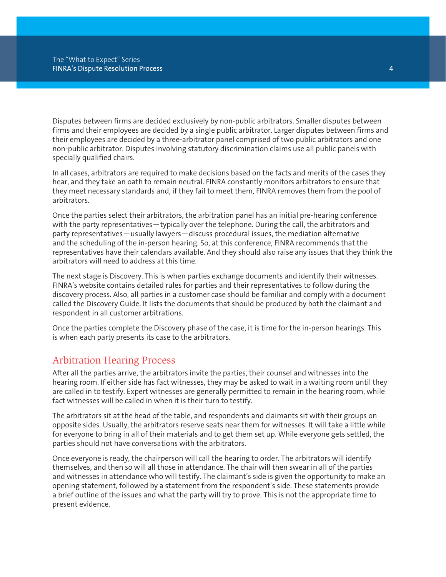Disputes between firms are decided exclusively by non-public arbitrators. Smaller disputes between firms and their employees are decided by a single public arbitrator. Larger disputes between firms and their employees are decided by a three-arbitrator panel comprised of two public arbitrators and one non-public arbitrator. Disputes involving statutory discrimination claims use all public panels with specially qualified chairs.

In all cases, arbitrators are required to make decisions based on the facts and merits of the cases they hear, and they take an oath to remain neutral. FINRA constantly monitors arbitrators to ensure that they meet necessary standards and, if they fail to meet them, FINRA removes them from the pool of arbitrators.

Once the parties select their arbitrators, the arbitration panel has an initial pre-hearing conference with the party representatives—typically over the telephone. During the call, the arbitrators and party representatives—usually lawyers—discuss procedural issues, the mediation alternative and the scheduling of the in-person hearing. So, at this conference, FINRA recommends that the representatives have their calendars available. And they should also raise any issues that they think the arbitrators will need to address at this time.

The next stage is Discovery. This is when parties exchange documents and identify their witnesses. FINRA's website contains detailed rules for parties and their representatives to follow during the discovery process. Also, all parties in a customer case should be familiar and comply with a document called the Discovery Guide. It lists the documents that should be produced by both the claimant and respondent in all customer arbitrations.

Once the parties complete the Discovery phase of the case, it is time for the in-person hearings. This is when each party presents its case to the arbitrators.

## Arbitration Hearing Process

After all the parties arrive, the arbitrators invite the parties, their counsel and witnesses into the hearing room. If either side has fact witnesses, they may be asked to wait in a waiting room until they are called in to testify. Expert witnesses are generally permitted to remain in the hearing room, while fact witnesses will be called in when it is their turn to testify.

The arbitrators sit at the head of the table, and respondents and claimants sit with their groups on opposite sides. Usually, the arbitrators reserve seats near them for witnesses. It will take a little while for everyone to bring in all of their materials and to get them set up. While everyone gets settled, the parties should not have conversations with the arbitrators.

Once everyone is ready, the chairperson will call the hearing to order. The arbitrators will identify themselves, and then so will all those in attendance. The chair will then swear in all of the parties and witnesses in attendance who will testify. The claimant's side is given the opportunity to make an opening statement, followed by a statement from the respondent's side. These statements provide a brief outline of the issues and what the party will try to prove. This is not the appropriate time to present evidence.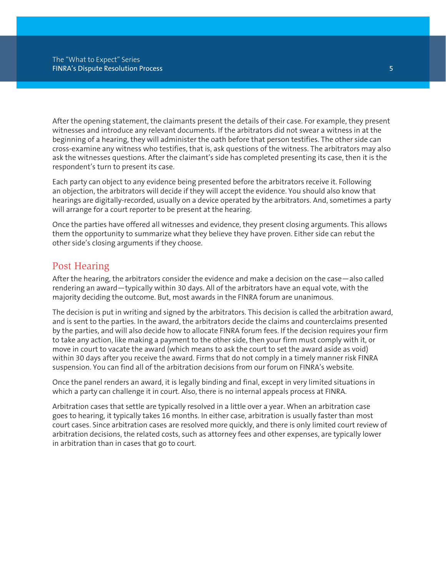After the opening statement, the claimants present the details of their case. For example, they present witnesses and introduce any relevant documents. If the arbitrators did not swear a witness in at the beginning of a hearing, they will administer the oath before that person testifies. The other side can cross-examine any witness who testifies, that is, ask questions of the witness. The arbitrators may also ask the witnesses questions. After the claimant's side has completed presenting its case, then it is the respondent's turn to present its case.

Each party can object to any evidence being presented before the arbitrators receive it. Following an objection, the arbitrators will decide if they will accept the evidence. You should also know that hearings are digitally-recorded, usually on a device operated by the arbitrators. And, sometimes a party will arrange for a court reporter to be present at the hearing.

Once the parties have offered all witnesses and evidence, they present closing arguments. This allows them the opportunity to summarize what they believe they have proven. Either side can rebut the other side's closing arguments if they choose.

## Post Hearing

After the hearing, the arbitrators consider the evidence and make a decision on the case—also called rendering an award—typically within 30 days. All of the arbitrators have an equal vote, with the majority deciding the outcome. But, most awards in the FINRA forum are unanimous.

The decision is put in writing and signed by the arbitrators. This decision is called the arbitration award, and is sent to the parties. In the award, the arbitrators decide the claims and counterclaims presented by the parties, and will also decide how to allocate FINRA forum fees. If the decision requires your firm to take any action, like making a payment to the other side, then your firm must comply with it, or move in court to vacate the award (which means to ask the court to set the award aside as void) within 30 days after you receive the award. Firms that do not comply in a timely manner risk FINRA suspension. You can find all of the arbitration decisions from our forum on FINRA's website.

Once the panel renders an award, it is legally binding and final, except in very limited situations in which a party can challenge it in court. Also, there is no internal appeals process at FINRA.

Arbitration cases that settle are typically resolved in a little over a year. When an arbitration case goes to hearing, it typically takes 16 months. In either case, arbitration is usually faster than most court cases. Since arbitration cases are resolved more quickly, and there is only limited court review of arbitration decisions, the related costs, such as attorney fees and other expenses, are typically lower in arbitration than in cases that go to court.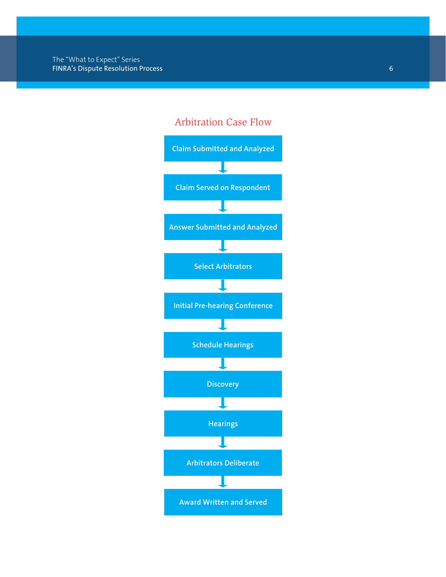# Arbitration Case Flow

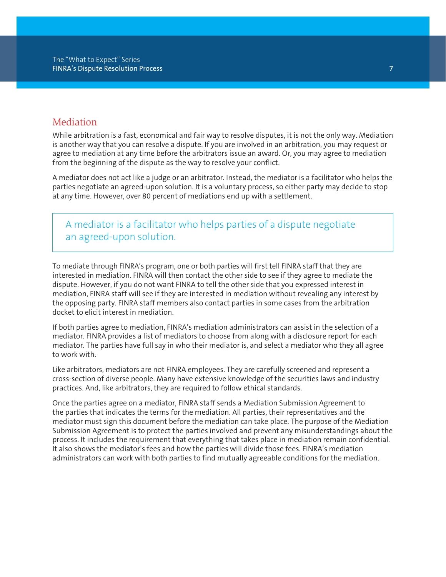### **Mediation**

While arbitration is a fast, economical and fair way to resolve disputes, it is not the only way. Mediation is another way that you can resolve a dispute. If you are involved in an arbitration, you may request or agree to mediation at any time before the arbitrators issue an award. Or, you may agree to mediation from the beginning of the dispute as the way to resolve your conflict.

A mediator does not act like a judge or an arbitrator. Instead, the mediator is a facilitator who helps the parties negotiate an agreed-upon solution. It is a voluntary process, so either party may decide to stop at any time. However, over 80 percent of mediations end up with a settlement.

A mediator is a facilitator who helps parties of a dispute negotiate an agreed-upon solution.

To mediate through FINRA's program, one or both parties will first tell FINRA staff that they are interested in mediation. FINRA will then contact the other side to see if they agree to mediate the dispute. However, if you do not want FINRA to tell the other side that you expressed interest in mediation, FINRA staff will see if they are interested in mediation without revealing any interest by the opposing party. FINRA staff members also contact parties in some cases from the arbitration docket to elicit interest in mediation.

If both parties agree to mediation, FINRA's mediation administrators can assist in the selection of a mediator. FINRA provides a list of mediators to choose from along with a disclosure report for each mediator. The parties have full say in who their mediator is, and select a mediator who they all agree to work with.

Like arbitrators, mediators are not FINRA employees. They are carefully screened and represent a cross-section of diverse people. Many have extensive knowledge of the securities laws and industry practices. And, like arbitrators, they are required to follow ethical standards.

Once the parties agree on a mediator, FINRA staff sends a Mediation Submission Agreement to the parties that indicates the terms for the mediation. All parties, their representatives and the mediator must sign this document before the mediation can take place. The purpose of the Mediation Submission Agreement is to protect the parties involved and prevent any misunderstandings about the process. It includes the requirement that everything that takes place in mediation remain confidential. It also shows the mediator's fees and how the parties will divide those fees. FINRA's mediation administrators can work with both parties to find mutually agreeable conditions for the mediation.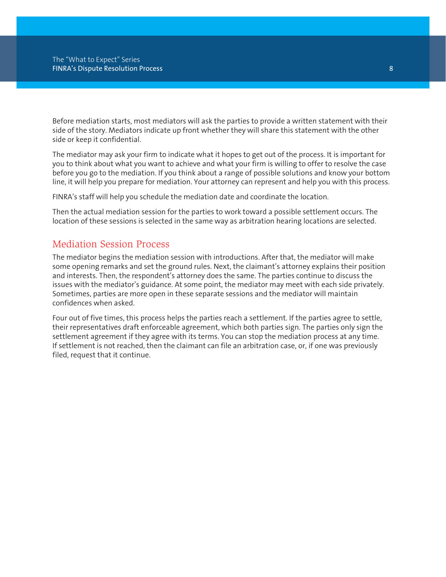Before mediation starts, most mediators will ask the parties to provide a written statement with their side of the story. Mediators indicate up front whether they will share this statement with the other side or keep it confidential.

The mediator may ask your firm to indicate what it hopes to get out of the process. It is important for you to think about what you want to achieve and what your firm is willing to offer to resolve the case before you go to the mediation. If you think about a range of possible solutions and know your bottom line, it will help you prepare for mediation. Your attorney can represent and help you with this process.

FINRA's staff will help you schedule the mediation date and coordinate the location.

Then the actual mediation session for the parties to work toward a possible settlement occurs. The location of these sessions is selected in the same way as arbitration hearing locations are selected.

## Mediation Session Process

The mediator begins the mediation session with introductions. After that, the mediator will make some opening remarks and set the ground rules. Next, the claimant's attorney explains their position and interests. Then, the respondent's attorney does the same. The parties continue to discuss the issues with the mediator's guidance. At some point, the mediator may meet with each side privately. Sometimes, parties are more open in these separate sessions and the mediator will maintain confidences when asked.

Four out of five times, this process helps the parties reach a settlement. If the parties agree to settle, their representatives draft enforceable agreement, which both parties sign. The parties only sign the settlement agreement if they agree with its terms. You can stop the mediation process at any time. If settlement is not reached, then the claimant can file an arbitration case, or, if one was previously filed, request that it continue.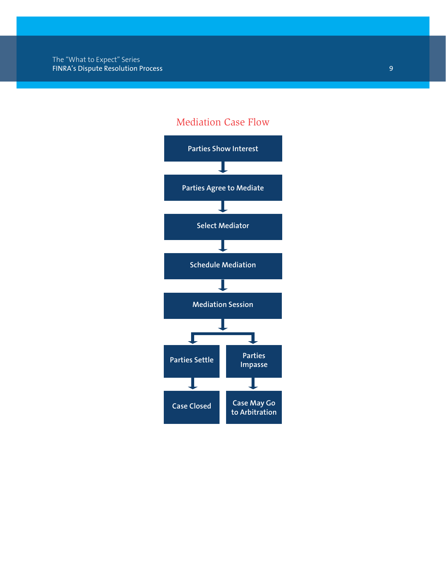# Mediation Case Flow

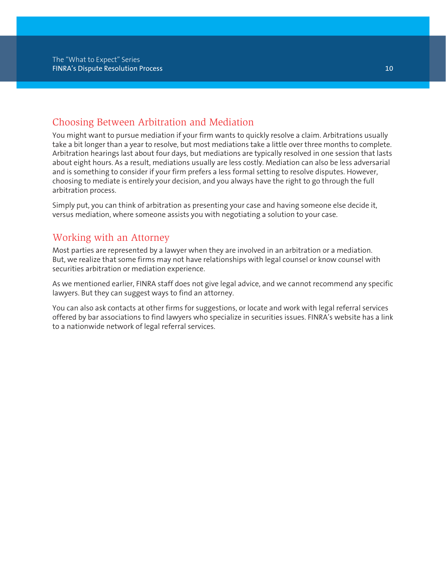## Choosing Between Arbitration and Mediation

You might want to pursue mediation if your firm wants to quickly resolve a claim. Arbitrations usually take a bit longer than a year to resolve, but most mediations take a little over three months to complete. Arbitration hearings last about four days, but mediations are typically resolved in one session that lasts about eight hours. As a result, mediations usually are less costly. Mediation can also be less adversarial and is something to consider if your firm prefers a less formal setting to resolve disputes. However, choosing to mediate is entirely your decision, and you always have the right to go through the full arbitration process.

Simply put, you can think of arbitration as presenting your case and having someone else decide it, versus mediation, where someone assists you with negotiating a solution to your case.

## Working with an Attorney

Most parties are represented by a lawyer when they are involved in an arbitration or a mediation. But, we realize that some firms may not have relationships with legal counsel or know counsel with securities arbitration or mediation experience.

As we mentioned earlier, FINRA staff does not give legal advice, and we cannot recommend any specific lawyers. But they can suggest ways to find an attorney.

You can also ask contacts at other firms for suggestions, or locate and work with legal referral services offered by bar associations to find lawyers who specialize in securities issues. FINRA's website has a link to a nationwide network of legal referral services.